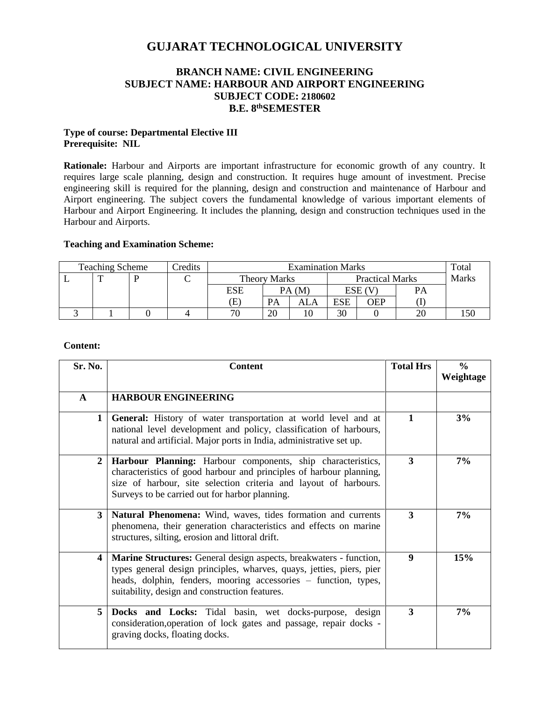# **GUJARAT TECHNOLOGICAL UNIVERSITY**

# **BRANCH NAME: CIVIL ENGINEERING SUBJECT NAME: HARBOUR AND AIRPORT ENGINEERING SUBJECT CODE: 2180602 B.E. 8 thSEMESTER**

### **Type of course: Departmental Elective III Prerequisite: NIL**

**Rationale:** Harbour and Airports are important infrastructure for economic growth of any country. It requires large scale planning, design and construction. It requires huge amount of investment. Precise engineering skill is required for the planning, design and construction and maintenance of Harbour and Airport engineering. The subject covers the fundamental knowledge of various important elements of Harbour and Airport Engineering. It includes the planning, design and construction techniques used in the Harbour and Airports.

## **Teaching and Examination Scheme:**

| <b>Teaching Scheme</b> |  | redits | <b>Examination Marks</b> |                            |           |                        | Total |        |              |  |
|------------------------|--|--------|--------------------------|----------------------------|-----------|------------------------|-------|--------|--------------|--|
|                        |  |        |                          | <b>Theory Marks</b>        |           | <b>Practical Marks</b> |       |        | <b>Marks</b> |  |
|                        |  |        |                          | <b>ESE</b>                 |           | PA(M)                  |       | ESE (V | <b>PA</b>    |  |
|                        |  |        |                          | $\left( \mathrm{E}\right)$ | <b>PA</b> | ALA                    | ESE   | OEP    |              |  |
|                        |  |        |                          | 70                         | 20        | 10                     | 30    |        | ZU           |  |

#### **Content:**

| Sr. No.        | <b>Content</b>                                                                                                                                                                                                                                                   | <b>Total Hrs</b> | $\frac{6}{6}$<br>Weightage |
|----------------|------------------------------------------------------------------------------------------------------------------------------------------------------------------------------------------------------------------------------------------------------------------|------------------|----------------------------|
| $\mathbf{A}$   | <b>HARBOUR ENGINEERING</b>                                                                                                                                                                                                                                       |                  |                            |
| 1 <sup>1</sup> | General: History of water transportation at world level and at<br>national level development and policy, classification of harbours,<br>natural and artificial. Major ports in India, administrative set up.                                                     | $\mathbf{1}$     | 3%                         |
| $\overline{2}$ | Harbour Planning: Harbour components, ship characteristics,<br>characteristics of good harbour and principles of harbour planning,<br>size of harbour, site selection criteria and layout of harbours.<br>Surveys to be carried out for harbor planning.         | 3                | 7%                         |
| 3              | Natural Phenomena: Wind, waves, tides formation and currents<br>phenomena, their generation characteristics and effects on marine<br>structures, silting, erosion and littoral drift.                                                                            | 3                | 7%                         |
| 4              | Marine Structures: General design aspects, breakwaters - function,<br>types general design principles, wharves, quays, jetties, piers, pier<br>heads, dolphin, fenders, mooring accessories – function, types,<br>suitability, design and construction features. | 9                | 15%                        |
| 5              | Docks and Locks: Tidal basin, wet docks-purpose, design<br>consideration, operation of lock gates and passage, repair docks -<br>graving docks, floating docks.                                                                                                  | 3                | 7%                         |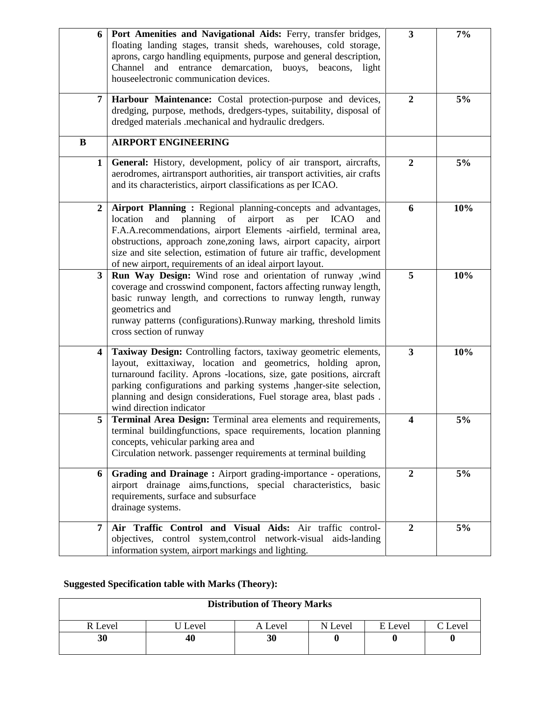| 6              | Port Amenities and Navigational Aids: Ferry, transfer bridges,<br>floating landing stages, transit sheds, warehouses, cold storage,<br>aprons, cargo handling equipments, purpose and general description,<br>and entrance demarcation, buoys, beacons, light<br>Channel<br>houseelectronic communication devices.                                                                                                                 | $\mathbf{3}$     | 7%  |
|----------------|------------------------------------------------------------------------------------------------------------------------------------------------------------------------------------------------------------------------------------------------------------------------------------------------------------------------------------------------------------------------------------------------------------------------------------|------------------|-----|
| 7              | Harbour Maintenance: Costal protection-purpose and devices,<br>dredging, purpose, methods, dredgers-types, suitability, disposal of<br>dredged materials .mechanical and hydraulic dredgers.                                                                                                                                                                                                                                       | $\overline{2}$   | 5%  |
| $\bf{B}$       | <b>AIRPORT ENGINEERING</b>                                                                                                                                                                                                                                                                                                                                                                                                         |                  |     |
| $\mathbf{1}$   | General: History, development, policy of air transport, aircrafts,<br>aerodromes, airtransport authorities, air transport activities, air crafts<br>and its characteristics, airport classifications as per ICAO.                                                                                                                                                                                                                  | $\overline{2}$   | 5%  |
| $\overline{2}$ | Airport Planning : Regional planning-concepts and advantages,<br>location<br>planning<br>of<br>airport<br><b>ICAO</b><br>and<br>as<br>per<br>and<br>F.A.A.recommendations, airport Elements -airfield, terminal area,<br>obstructions, approach zone, zoning laws, airport capacity, airport<br>size and site selection, estimation of future air traffic, development<br>of new airport, requirements of an ideal airport layout. | 6                | 10% |
| $\mathbf{3}$   | Run Way Design: Wind rose and orientation of runway ,wind<br>coverage and crosswind component, factors affecting runway length,<br>basic runway length, and corrections to runway length, runway<br>geometrics and<br>runway patterns (configurations).Runway marking, threshold limits<br>cross section of runway                                                                                                                 | 5                | 10% |
| 4              | Taxiway Design: Controlling factors, taxiway geometric elements,<br>layout, exittaxiway, location and geometrics, holding apron,<br>turnaround facility. Aprons -locations, size, gate positions, aircraft<br>parking configurations and parking systems , hanger-site selection,<br>planning and design considerations, Fuel storage area, blast pads.<br>wind direction indicator                                                | 3                | 10% |
| 5              | Terminal Area Design: Terminal area elements and requirements,<br>terminal buildingfunctions, space requirements, location planning<br>concepts, vehicular parking area and<br>Circulation network. passenger requirements at terminal building                                                                                                                                                                                    | 4                | 5%  |
| 6              | Grading and Drainage: Airport grading-importance - operations,<br>airport drainage aims, functions, special characteristics, basic<br>requirements, surface and subsurface<br>drainage systems.                                                                                                                                                                                                                                    | $\overline{2}$   | 5%  |
| 7              | Air Traffic Control and Visual Aids: Air traffic control-<br>objectives, control system, control network-visual aids-landing<br>information system, airport markings and lighting.                                                                                                                                                                                                                                                 | $\boldsymbol{2}$ | 5%  |

# **Suggested Specification table with Marks (Theory):**

| <b>Distribution of Theory Marks</b> |       |         |         |         |         |  |  |
|-------------------------------------|-------|---------|---------|---------|---------|--|--|
| R Level                             | Level | A Level | N Level | E Level | C Level |  |  |
| 30                                  | 40    | 30      |         |         |         |  |  |